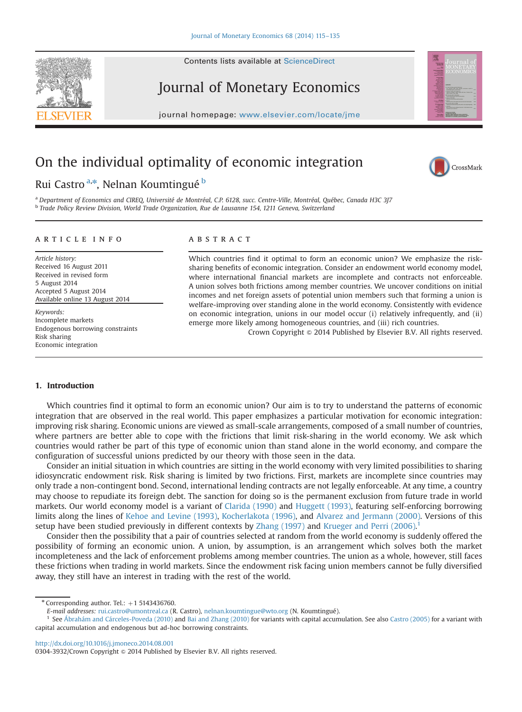



# Journal of Monetary Economics

journal homepage: <www.elsevier.com/locate/jme>

## On the individual optimality of economic integration

### Rui Castro <sup>a,</sup>\*, Nelnan Koumtingué <sup>b</sup>

CrossMark

<sup>a</sup> Department of Economics and CIREQ, Université de Montréal, C.P. 6128, succ. Centre-Ville, Montréal, Québec, Canada H3C 3J7 <sup>b</sup> Trade Policy Review Division, World Trade Organization, Rue de Lausanne 154, 1211 Geneva, Switzerland

#### article info

Article history: Received 16 August 2011 Received in revised form 5 August 2014 Accepted 5 August 2014 Available online 13 August 2014

Keywords: Incomplete markets Endogenous borrowing constraints Risk sharing Economic integration

#### **ABSTRACT**

Which countries find it optimal to form an economic union? We emphasize the risksharing benefits of economic integration. Consider an endowment world economy model, where international financial markets are incomplete and contracts not enforceable. A union solves both frictions among member countries. We uncover conditions on initial incomes and net foreign assets of potential union members such that forming a union is welfare-improving over standing alone in the world economy. Consistently with evidence on economic integration, unions in our model occur (i) relatively infrequently, and (ii) emerge more likely among homogeneous countries, and (iii) rich countries.

Crown Copyright  $\odot$  2014 Published by Elsevier B.V. All rights reserved.

#### 1. Introduction

Which countries find it optimal to form an economic union? Our aim is to try to understand the patterns of economic integration that are observed in the real world. This paper emphasizes a particular motivation for economic integration: improving risk sharing. Economic unions are viewed as small-scale arrangements, composed of a small number of countries, where partners are better able to cope with the frictions that limit risk-sharing in the world economy. We ask which countries would rather be part of this type of economic union than stand alone in the world economy, and compare the configuration of successful unions predicted by our theory with those seen in the data.

Consider an initial situation in which countries are sitting in the world economy with very limited possibilities to sharing idiosyncratic endowment risk. Risk sharing is limited by two frictions. First, markets are incomplete since countries may only trade a non-contingent bond. Second, international lending contracts are not legally enforceable. At any time, a country may choose to repudiate its foreign debt. The sanction for doing so is the permanent exclusion from future trade in world markets. Our world economy model is a variant of Clarida (1990) and Huggett (1993), featuring self-enforcing borrowing limits along the lines of Kehoe and Levine (1993), Kocherlakota (1996), and Alvarez and Jermann (2000). Versions of this setup have been studied previously in different contexts by Zhang (1997) and Krueger and Perri (2006).<sup>1</sup>

Consider then the possibility that a pair of countries selected at random from the world economy is suddenly offered the possibility of forming an economic union. A union, by assumption, is an arrangement which solves both the market incompleteness and the lack of enforcement problems among member countries. The union as a whole, however, still faces these frictions when trading in world markets. Since the endowment risk facing union members cannot be fully diversified away, they still have an interest in trading with the rest of the world.

<http://dx.doi.org/10.1016/j.jmoneco.2014.08.001>

 $*$  Corresponding author. Tel.:  $+1$  5143436760.

E-mail addresses: [rui.castro@umontreal.ca](mailto:rui.castro@umontreal.ca) (R. Castro), [nelnan.koumtingue@wto.org](mailto:nelnan.koumtingue@wto.org) (N. Koumtingué).

<sup>&</sup>lt;sup>1</sup> See Ábrahám and Cárceles-Poveda (2010) and Bai and Zhang (2010) for variants with capital accumulation. See also Castro (2005) for a variant with capital accumulation and endogenous but ad-hoc borrowing constraints.

<sup>0304-3932/</sup>Crown Copyright @ 2014 Published by Elsevier B.V. All rights reserved.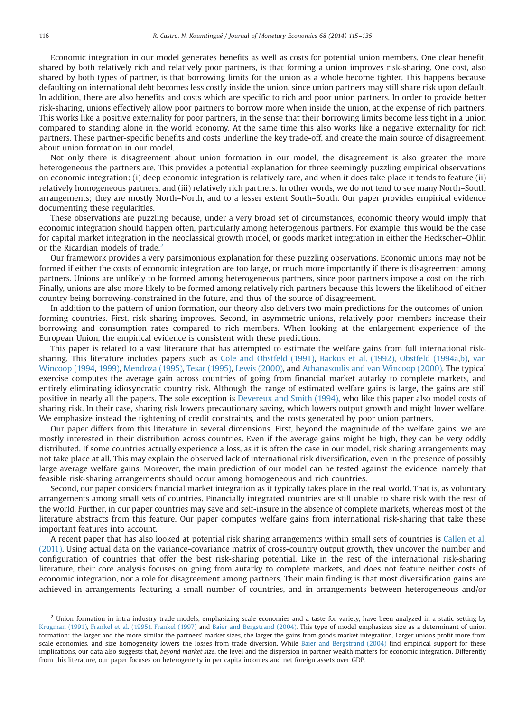Economic integration in our model generates benefits as well as costs for potential union members. One clear benefit, shared by both relatively rich and relatively poor partners, is that forming a union improves risk-sharing. One cost, also shared by both types of partner, is that borrowing limits for the union as a whole become tighter. This happens because defaulting on international debt becomes less costly inside the union, since union partners may still share risk upon default. In addition, there are also benefits and costs which are specific to rich and poor union partners. In order to provide better risk-sharing, unions effectively allow poor partners to borrow more when inside the union, at the expense of rich partners. This works like a positive externality for poor partners, in the sense that their borrowing limits become less tight in a union compared to standing alone in the world economy. At the same time this also works like a negative externality for rich partners. These partner-specific benefits and costs underline the key trade-off, and create the main source of disagreement, about union formation in our model.

Not only there is disagreement about union formation in our model, the disagreement is also greater the more heterogeneous the partners are. This provides a potential explanation for three seemingly puzzling empirical observations on economic integration: (i) deep economic integration is relatively rare, and when it does take place it tends to feature (ii) relatively homogeneous partners, and (iii) relatively rich partners. In other words, we do not tend to see many North–South arrangements; they are mostly North–North, and to a lesser extent South–South. Our paper provides empirical evidence documenting these regularities.

These observations are puzzling because, under a very broad set of circumstances, economic theory would imply that economic integration should happen often, particularly among heterogenous partners. For example, this would be the case for capital market integration in the neoclassical growth model, or goods market integration in either the Heckscher–Ohlin or the Ricardian models of trade. $2^2$ 

Our framework provides a very parsimonious explanation for these puzzling observations. Economic unions may not be formed if either the costs of economic integration are too large, or much more importantly if there is disagreement among partners. Unions are unlikely to be formed among heterogeneous partners, since poor partners impose a cost on the rich. Finally, unions are also more likely to be formed among relatively rich partners because this lowers the likelihood of either country being borrowing-constrained in the future, and thus of the source of disagreement.

In addition to the pattern of union formation, our theory also delivers two main predictions for the outcomes of unionforming countries. First, risk sharing improves. Second, in asymmetric unions, relatively poor members increase their borrowing and consumption rates compared to rich members. When looking at the enlargement experience of the European Union, the empirical evidence is consistent with these predictions.

This paper is related to a vast literature that has attempted to estimate the welfare gains from full international risksharing. This literature includes papers such as Cole and Obstfeld (1991), Backus et al. (1992), Obstfeld (1994a,b), van Wincoop (1994, 1999), Mendoza (1995), Tesar (1995), Lewis (2000), and Athanasoulis and van Wincoop (2000). The typical exercise computes the average gain across countries of going from financial market autarky to complete markets, and entirely eliminating idiosyncratic country risk. Although the range of estimated welfare gains is large, the gains are still positive in nearly all the papers. The sole exception is Devereux and Smith (1994), who like this paper also model costs of sharing risk. In their case, sharing risk lowers precautionary saving, which lowers output growth and might lower welfare. We emphasize instead the tightening of credit constraints, and the costs generated by poor union partners.

Our paper differs from this literature in several dimensions. First, beyond the magnitude of the welfare gains, we are mostly interested in their distribution across countries. Even if the average gains might be high, they can be very oddly distributed. If some countries actually experience a loss, as it is often the case in our model, risk sharing arrangements may not take place at all. This may explain the observed lack of international risk diversification, even in the presence of possibly large average welfare gains. Moreover, the main prediction of our model can be tested against the evidence, namely that feasible risk-sharing arrangements should occur among homogeneous and rich countries.

Second, our paper considers financial market integration as it typically takes place in the real world. That is, as voluntary arrangements among small sets of countries. Financially integrated countries are still unable to share risk with the rest of the world. Further, in our paper countries may save and self-insure in the absence of complete markets, whereas most of the literature abstracts from this feature. Our paper computes welfare gains from international risk-sharing that take these important features into account.

A recent paper that has also looked at potential risk sharing arrangements within small sets of countries is Callen et al. (2011). Using actual data on the variance-covariance matrix of cross-country output growth, they uncover the number and configuration of countries that offer the best risk-sharing potential. Like in the rest of the international risk-sharing literature, their core analysis focuses on going from autarky to complete markets, and does not feature neither costs of economic integration, nor a role for disagreement among partners. Their main finding is that most diversification gains are achieved in arrangements featuring a small number of countries, and in arrangements between heterogeneous and/or

 $2$  Union formation in intra-industry trade models, emphasizing scale economies and a taste for variety, have been analyzed in a static setting by Krugman (1991), Frankel et al. (1995), Frankel (1997) and Baier and Bergstrand (2004). This type of model emphasizes size as a determinant of union formation: the larger and the more similar the partners' market sizes, the larger the gains from goods market integration. Larger unions profit more from scale economies, and size homogeneity lowers the losses from trade diversion. While Baier and Bergstrand (2004) find empirical support for these implications, our data also suggests that, beyond market size, the level and the dispersion in partner wealth matters for economic integration. Differently from this literature, our paper focuses on heterogeneity in per capita incomes and net foreign assets over GDP.